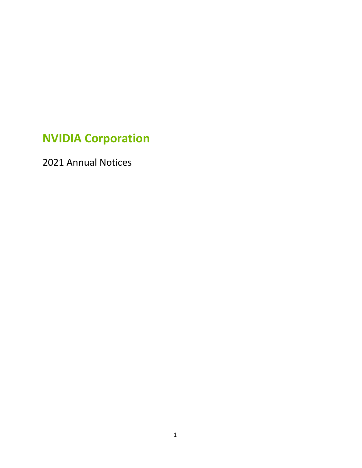# **NVIDIA Corporation**

Annual Notices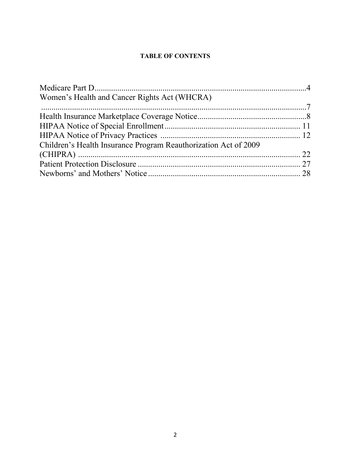#### **TABLE OF CONTENTS**

| Women's Health and Cancer Rights Act (WHCRA)                    |  |
|-----------------------------------------------------------------|--|
|                                                                 |  |
|                                                                 |  |
|                                                                 |  |
|                                                                 |  |
| Children's Health Insurance Program Reauthorization Act of 2009 |  |
|                                                                 |  |
|                                                                 |  |
|                                                                 |  |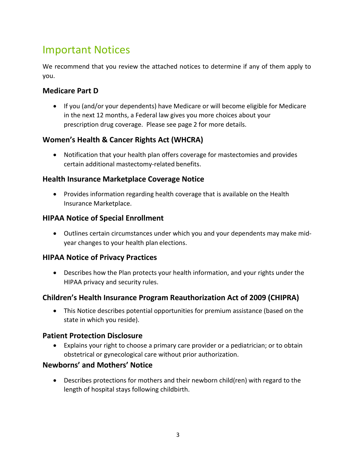# Important Notices

We recommend that you review the attached notices to determine if any of them apply to you.

### **Medicare Part D**

 If you (and/or your dependents) have Medicare or will become eligible for Medicare in the next 12 months, a Federal law gives you more choices about your prescription drug coverage. Please see page 2 for more details.

### **Women's Health & Cancer Rights Act (WHCRA)**

 Notification that your health plan offers coverage for mastectomies and provides certain additional mastectomy-related benefits.

### **Health Insurance Marketplace Coverage Notice**

• Provides information regarding health coverage that is available on the Health Insurance Marketplace.

### **HIPAA Notice of Special Enrollment**

 Outlines certain circumstances under which you and your dependents may make midyear changes to your health plan elections.

### **HIPAA Notice of Privacy Practices**

 Describes how the Plan protects your health information, and your rights under the HIPAA privacy and security rules.

### **Children's Health Insurance Program Reauthorization Act of 2009 (CHIPRA)**

 This Notice describes potential opportunities for premium assistance (based on the state in which you reside).

### **Patient Protection Disclosure**

 Explains your right to choose a primary care provider or a pediatrician; or to obtain obstetrical or gynecological care without prior authorization.

### **Newborns' and Mothers' Notice**

 Describes protections for mothers and their newborn child(ren) with regard to the length of hospital stays following childbirth.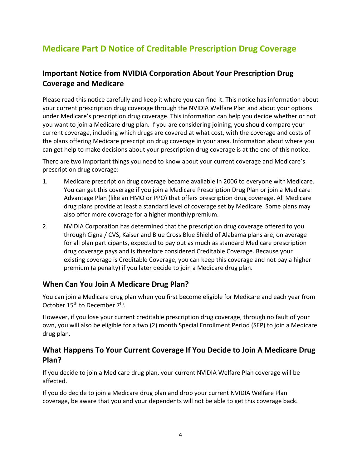# **Medicare Part D Notice of Creditable Prescription Drug Coverage**

### **Important Notice from NVIDIA Corporation About Your Prescription Drug Coverage and Medicare**

Please read this notice carefully and keep it where you can find it. This notice has information about your current prescription drug coverage through the NVIDIA Welfare Plan and about your options under Medicare's prescription drug coverage. This information can help you decide whether or not you want to join a Medicare drug plan. If you are considering joining, you should compare your current coverage, including which drugs are covered at what cost, with the coverage and costs of the plans offering Medicare prescription drug coverage in your area. Information about where you can get help to make decisions about your prescription drug coverage is at the end of this notice.

There are two important things you need to know about your current coverage and Medicare's prescription drug coverage:

- 1. Medicare prescription drug coverage became available in 2006 to everyone withMedicare. You can get this coverage if you join a Medicare Prescription Drug Plan or join a Medicare Advantage Plan (like an HMO or PPO) that offers prescription drug coverage. All Medicare drug plans provide at least a standard level of coverage set by Medicare. Some plans may also offer more coverage for a higher monthlypremium.
- 2. NVIDIA Corporation has determined that the prescription drug coverage offered to you through Cigna / CVS, Kaiser and Blue Cross Blue Shield of Alabama plans are, on average for all plan participants, expected to pay out as much as standard Medicare prescription drug coverage pays and is therefore considered Creditable Coverage. Because your existing coverage is Creditable Coverage, you can keep this coverage and not pay a higher premium (a penalty) if you later decide to join a Medicare drug plan.

### **When Can You Join A Medicare Drug Plan?**

You can join a Medicare drug plan when you first become eligible for Medicare and each year from October 15<sup>th</sup> to December 7<sup>th</sup>.

However, if you lose your current creditable prescription drug coverage, through no fault of your own, you will also be eligible for a two (2) month Special Enrollment Period (SEP) to join a Medicare drug plan.

### **What Happens To Your Current Coverage If You Decide to Join A Medicare Drug Plan?**

If you decide to join a Medicare drug plan, your current NVIDIA Welfare Plan coverage will be affected.

If you do decide to join a Medicare drug plan and drop your current NVIDIA Welfare Plan coverage, be aware that you and your dependents will not be able to get this coverage back.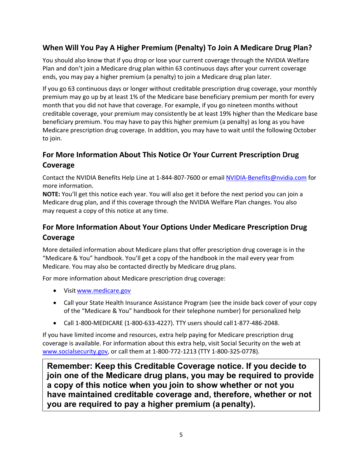### **When Will You Pay A Higher Premium (Penalty) To Join A Medicare Drug Plan?**

You should also know that if you drop or lose your current coverage through the NVIDIA Welfare Plan and don't join a Medicare drug plan within 63 continuous days after your current coverage ends, you may pay a higher premium (a penalty) to join a Medicare drug plan later.

If you go 63 continuous days or longer without creditable prescription drug coverage, your monthly premium may go up by at least 1% of the Medicare base beneficiary premium per month for every month that you did not have that coverage. For example, if you go nineteen months without creditable coverage, your premium may consistently be at least 19% higher than the Medicare base beneficiary premium. You may have to pay this higher premium (a penalty) as long as you have Medicare prescription drug coverage. In addition, you may have to wait until the following October to join.

### **For More Information About This Notice Or Your Current Prescription Drug Coverage**

Contact the NVIDIA Benefits Help Line at 1-844-807-7600 or email NVIDIA-Benefits@nvidia.com for more information.

**NOTE:** You'll get this notice each year. You will also get it before the next period you can join a Medicare drug plan, and if this coverage through the NVIDIA Welfare Plan changes. You also may request a copy of this notice at any time.

### **For More Information About Your Options Under Medicare Prescription Drug Coverage**

More detailed information about Medicare plans that offer prescription drug coverage is in the "Medicare & You" handbook. You'll get a copy of the handbook in the mail every year from Medicare. You may also be contacted directly by Medicare drug plans.

For more information about Medicare prescription drug coverage:

- Visit www.medicare.gov
- Call your State Health Insurance Assistance Program (see the inside back cover of your copy of the "Medicare & You" handbook for their telephone number) for personalized help
- $\bullet$  Call 1-800-MEDICARE (1-800-633-4227). TTY users should call 1-877-486-2048.

If you have limited income and resources, extra help paying for Medicare prescription drug coverage is available. For information about this extra help, visit Social Security on the web at www.socialsecurity.gov, or call them at 1-800-772-1213 (TTY 1-800-325-0778).

**Remember: Keep this Creditable Coverage notice. If you decide to join one of the Medicare drug plans, you may be required to provide a copy of this notice when you join to show whether or not you have maintained creditable coverage and, therefore, whether or not you are required to pay a higher premium (a penalty).**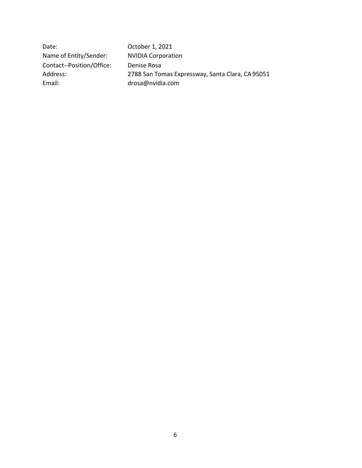Date: October 1, 2021 Name of Entity/Sender: NVIDIA Corporation Contact--Position/Office: Denise Rosa Address: 2788 San Tomas Expressway, Santa Clara, CA95051 Email: drosa@nvidia.com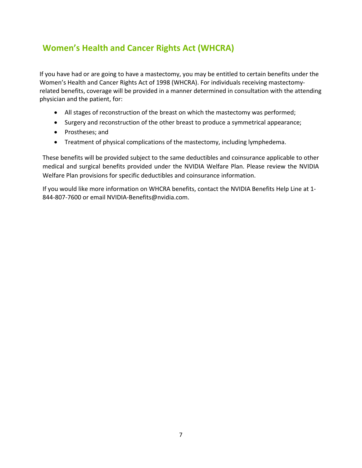## **Women's Health and Cancer Rights Act (WHCRA)**

If you have had or are going to have a mastectomy, you may be entitled to certain benefits under the Women's Health and Cancer Rights Act of 1998 (WHCRA). For individuals receiving mastectomyrelated benefits, coverage will be provided in a manner determined in consultation with the attending physician and the patient, for:

- All stages of reconstruction of the breast on which the mastectomy was performed;
- Surgery and reconstruction of the other breast to produce a symmetrical appearance;
- Prostheses; and
- Treatment of physical complications of the mastectomy, including lymphedema.

These benefits will be provided subject to the same deductibles and coinsurance applicable to other medical and surgical benefits provided under the NVIDIA Welfare Plan. Please review the NVIDIA Welfare Plan provisions for specific deductibles and coinsurance information.

If you would like more information on WHCRA benefits, contact the NVIDIA Benefits Help Line at 1- 844-807-7600 or email NVIDIA-Benefits@nvidia.com.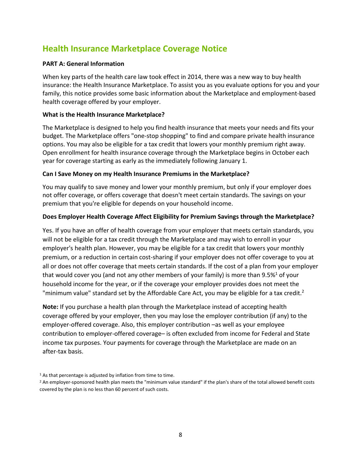### **Health Insurance Marketplace Coverage Notice**

#### **PART A: General Information**

When key parts of the health care law took effect in 2014, there was a new way to buy health insurance: the Health Insurance Marketplace. To assist you as you evaluate options for you and your family, this notice provides some basic information about the Marketplace and employment-based health coverage offered by your employer.

#### **What is the Health Insurance Marketplace?**

The Marketplace is designed to help you find health insurance that meets your needs and fits your budget. The Marketplace offers "one-stop shopping" to find and compare private health insurance options. You may also be eligible for a tax credit that lowers your monthly premium right away. Open enrollment for health insurance coverage through the Marketplace begins in October each year for coverage starting as early as the immediately following January 1.

#### **Can I Save Money on my Health Insurance Premiums in the Marketplace?**

You may qualify to save money and lower your monthly premium, but only if your employer does not offer coverage, or offers coverage that doesn't meet certain standards. The savings on your premium that you're eligible for depends on your household income.

#### **Does Employer Health Coverage Affect Eligibility for Premium Savings through the Marketplace?**

Yes. If you have an offer of health coverage from your employer that meets certain standards, you will not be eligible for a tax credit through the Marketplace and may wish to enroll in your employer's health plan. However, you may be eligible for a tax credit that lowers your monthly premium, or a reduction in certain cost-sharing if your employer does not offer coverage to you at all or does not offer coverage that meets certain standards. If the cost of a plan from your employer that would cover you (and not any other members of your family) is more than  $9.5\%$ <sup>1</sup> of your household income for the year, or if the coverage your employer provides does not meet the "minimum value" standard set by the Affordable Care Act, you may be eligible for a tax credit.<sup>2</sup>

**Note:** If you purchase a health plan through the Marketplace instead of accepting health coverage offered by your employer, then you may lose the employer contribution (if any) to the employer-offered coverage. Also, this employer contribution –as well as your employee contribution to employer-offered coverage– is often excluded from income for Federal and State income tax purposes. Your payments for coverage through the Marketplace are made on an after-tax basis.

<sup>&</sup>lt;sup>1</sup> As that percentage is adjusted by inflation from time to time.

<sup>&</sup>lt;sup>2</sup> An employer-sponsored health plan meets the "minimum value standard" if the plan's share of the total allowed benefit costs covered by the plan is no less than 60 percent of such costs.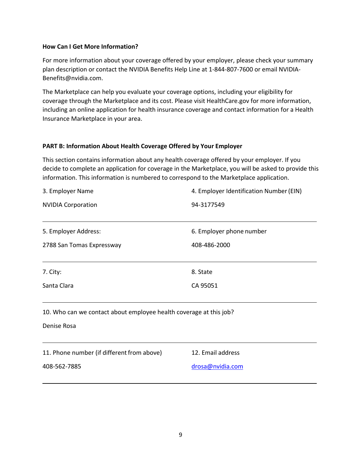#### **How Can I Get More Information?**

For more information about your coverage offered by your employer, please check your summary plan description or contact the NVIDIA Benefits Help Line at 1-844-807-7600 or email NVIDIA-Benefits@nvidia.com.

The Marketplace can help you evaluate your coverage options, including your eligibility for coverage through the Marketplace and its cost. Please visit HealthCare.gov for more information, including an online application for health insurance coverage and contact information for a Health Insurance Marketplace in your area.

#### **PART B: Information About Health Coverage Offered by Your Employer**

This section contains information about any health coverage offered by your employer. If you decide to complete an application for coverage in the Marketplace, you will be asked to provide this information. This information is numbered to correspond to the Marketplace application.

| 3. Employer Name                                                   | 4. Employer Identification Number (EIN) |  |
|--------------------------------------------------------------------|-----------------------------------------|--|
| <b>NVIDIA Corporation</b>                                          | 94-3177549                              |  |
|                                                                    |                                         |  |
| 5. Employer Address:                                               | 6. Employer phone number                |  |
| 2788 San Tomas Expressway                                          | 408-486-2000                            |  |
|                                                                    |                                         |  |
| 7. City:                                                           | 8. State                                |  |
| Santa Clara                                                        | CA 95051                                |  |
|                                                                    |                                         |  |
| 10. Who can we contact about employee health coverage at this job? |                                         |  |
| Denise Rosa                                                        |                                         |  |
|                                                                    |                                         |  |
| 11. Phone number (if different from above)                         | 12. Email address                       |  |
| 408-562-7885                                                       | drosa@nvidia.com                        |  |
|                                                                    |                                         |  |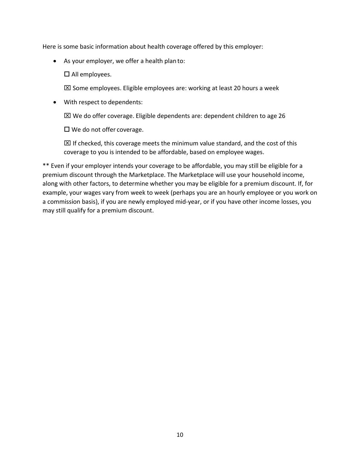Here is some basic information about health coverage offered by this employer:

As your employer, we offer a health plan to:

 $\square$  All employees.

 $\boxtimes$  Some employees. Eligible employees are: working at least 20 hours a week

With respect to dependents:

 $\boxtimes$  We do offer coverage. Eligible dependents are: dependent children to age 26

 $\square$  We do not offer coverage.

 $\boxtimes$  If checked, this coverage meets the minimum value standard, and the cost of this coverage to you is intended to be affordable, based on employee wages.

\*\* Even if your employer intends your coverage to be affordable, you may still be eligible for a premium discount through the Marketplace. The Marketplace will use your household income, along with other factors, to determine whether you may be eligible for a premium discount. If, for example, your wages vary from week to week (perhaps you are an hourly employee or you work on a commission basis), if you are newly employed mid-year, or if you have other income losses, you may still qualify for a premium discount.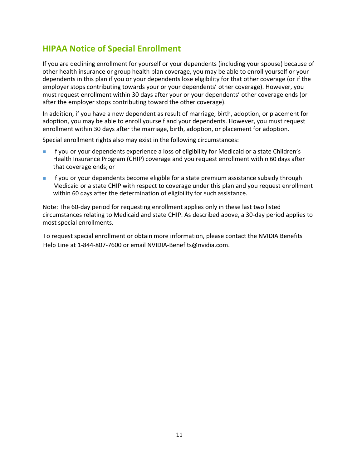### **HIPAA Notice of Special Enrollment**

If you are declining enrollment for yourself or your dependents (including your spouse) because of other health insurance or group health plan coverage, you may be able to enroll yourself or your dependents in this plan if you or your dependents lose eligibility for that other coverage (or if the employer stops contributing towards your or your dependents' other coverage). However, you must request enrollment within 30 days after your or your dependents' other coverage ends (or after the employer stops contributing toward the other coverage).

In addition, if you have a new dependent as result of marriage, birth, adoption, or placement for adoption, you may be able to enroll yourself and your dependents. However, you must request enrollment within 30 days after the marriage, birth, adoption, or placement for adoption.

Special enrollment rights also may exist in the following circumstances:

- If you or your dependents experience a loss of eligibility for Medicaid or a state Children's Health Insurance Program (CHIP) coverage and you request enrollment within 60 days after that coverage ends; or
- If you or your dependents become eligible for a state premium assistance subsidy through Medicaid or a state CHIP with respect to coverage under this plan and you request enrollment within 60 days after the determination of eligibility for such assistance.

Note: The 60-day period for requesting enrollment applies only in these last two listed circumstances relating to Medicaid and state CHIP. As described above, a 30-day period applies to most special enrollments.

To request special enrollment or obtain more information, please contact the NVIDIA Benefits Help Line at 1-844-807-7600 or email NVIDIA-Benefits@nvidia.com.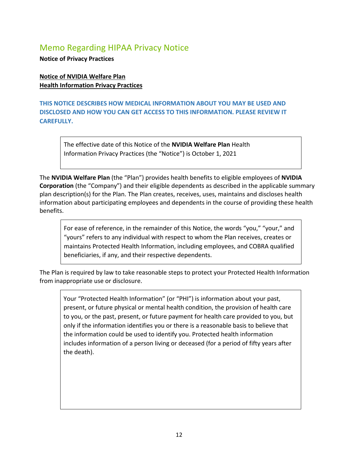### Memo Regarding HIPAA Privacy Notice

**Notice of Privacy Practices**

**Notice of NVIDIA Welfare Plan Health Information Privacy Practices**

**THIS NOTICE DESCRIBES HOW MEDICAL INFORMATION ABOUT YOU MAY BE USED AND DISCLOSED AND HOW YOU CAN GET ACCESS TO THIS INFORMATION. PLEASE REVIEW IT CAREFULLY.**

The effective date of this Notice of the **NVIDIA Welfare Plan** Health Information Privacy Practices (the "Notice") is October 1, 2021

The **NVIDIA Welfare Plan** (the "Plan") provides health benefits to eligible employees of **NVIDIA Corporation** (the "Company") and their eligible dependents as described in the applicable summary plan description(s) for the Plan. The Plan creates, receives, uses, maintains and discloses health information about participating employees and dependents in the course of providing these health benefits.

For ease of reference, in the remainder of this Notice, the words "you," "your," and "yours" refers to any individual with respect to whom the Plan receives, creates or maintains Protected Health Information, including employees, and COBRA qualified beneficiaries, if any, and their respective dependents.

The Plan is required by law to take reasonable steps to protect your Protected Health Information from inappropriate use or disclosure.

Your "Protected Health Information" (or "PHI") is information about your past, present, or future physical or mental health condition, the provision of health care to you, or the past, present, or future payment for health care provided to you, but only if the information identifies you or there is a reasonable basis to believe that the information could be used to identify you. Protected health information includes information of a person living or deceased (for a period of fifty years after the death).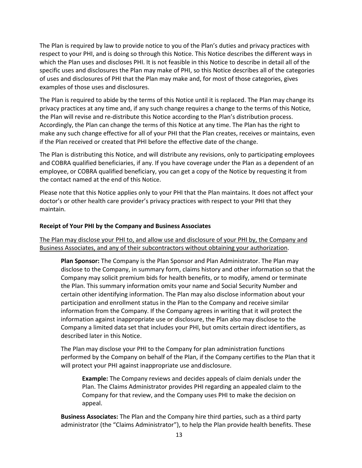The Plan is required by law to provide notice to you of the Plan's duties and privacy practices with respect to your PHI, and is doing so through this Notice. This Notice describes the different ways in which the Plan uses and discloses PHI. It is not feasible in this Notice to describe in detail all of the specific uses and disclosures the Plan may make of PHI, so this Notice describes all of the categories of uses and disclosures of PHI that the Plan may make and, for most of those categories, gives examples of those uses and disclosures.

The Plan is required to abide by the terms of this Notice until it is replaced. The Plan may change its privacy practices at any time and, if any such change requires a change to the terms of this Notice, the Plan will revise and re-distribute this Notice according to the Plan's distribution process. Accordingly, the Plan can change the terms of this Notice at any time. The Plan has the right to make any such change effective for all of your PHI that the Plan creates, receives or maintains, even if the Plan received or created that PHI before the effective date of the change.

The Plan is distributing this Notice, and will distribute any revisions, only to participating employees and COBRA qualified beneficiaries, if any. If you have coverage under the Plan as a dependent of an employee, or COBRA qualified beneficiary, you can get a copy of the Notice by requesting it from the contact named at the end of this Notice.

Please note that this Notice applies only to your PHI that the Plan maintains. It does not affect your doctor's or other health care provider's privacy practices with respect to your PHI that they maintain.

#### **Receipt of Your PHI by the Company and Business Associates**

The Plan may disclose your PHI to, and allow use and disclosure of your PHI by, the Company and Business Associates, and any of their subcontractors without obtaining your authorization.

**Plan Sponsor:** The Company is the Plan Sponsor and Plan Administrator. The Plan may disclose to the Company, in summary form, claims history and other information so that the Company may solicit premium bids for health benefits, or to modify, amend or terminate the Plan. This summary information omits your name and Social Security Number and certain other identifying information. The Plan may also disclose information about your participation and enrollment status in the Plan to the Company and receive similar information from the Company. If the Company agrees in writing that it will protect the information against inappropriate use or disclosure, the Plan also may disclose to the Company a limited data set that includes your PHI, but omits certain direct identifiers, as described later in this Notice.

The Plan may disclose your PHI to the Company for plan administration functions performed by the Company on behalf of the Plan, if the Company certifies to the Plan that it will protect your PHI against inappropriate use and disclosure.

**Example:** The Company reviews and decides appeals of claim denials under the Plan. The Claims Administrator provides PHI regarding an appealed claim to the Company for that review, and the Company uses PHI to make the decision on appeal.

**Business Associates:** The Plan and the Company hire third parties, such as a third party administrator (the "Claims Administrator"), to help the Plan provide health benefits. These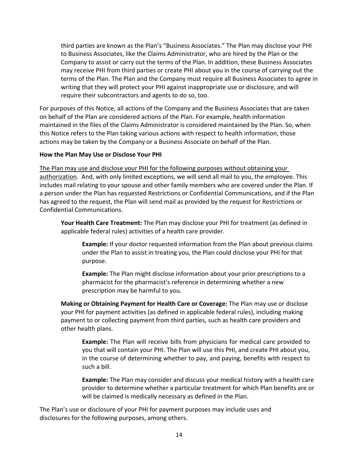third parties are known as the Plan's "Business Associates." The Plan may disclose your PHI to Business Associates, like the Claims Administrator, who are hired by the Plan or the Company to assist or carry out the terms of the Plan. In addition, these Business Associates may receive PHI from third parties or create PHI about you in the course of carrying out the terms of the Plan. The Plan and the Company must require all Business Associates to agree in writing that they will protect your PHI against inappropriate use or disclosure, and will require their subcontractors and agents to do so, too.

For purposes of this Notice, all actions of the Company and the Business Associates that are taken on behalf of the Plan are considered actions of the Plan. For example, health information maintained in the files of the Claims Administrator is considered maintained by the Plan. So, when this Notice refers to the Plan taking various actions with respect to health information, those actions may be taken by the Company or a Business Associate on behalf of the Plan.

#### **How the Plan May Use or Disclose Your PHI**

The Plan may use and disclose your PHI for the following purposes without obtaining your authorization. And, with only limited exceptions, we will send all mail to you, the employee. This includes mail relating to your spouse and other family members who are covered under the Plan. If a person under the Plan has requested Restrictions or Confidential Communications, and if the Plan has agreed to the request, the Plan will send mail as provided by the request for Restrictions or Confidential Communications.

**Your Health Care Treatment:** The Plan may disclose your PHI for treatment (as defined in applicable federal rules) activities of a health care provider.

**Example:** If your doctor requested information from the Plan about previous claims under the Plan to assist in treating you, the Plan could disclose your PHI for that purpose.

**Example:** The Plan might disclose information about your prior prescriptions to a pharmacist for the pharmacist's reference in determining whether a new prescription may be harmful to you.

**Making or Obtaining Payment for Health Care or Coverage:** The Plan may use or disclose your PHI for payment activities (as defined in applicable federal rules), including making payment to or collecting payment from third parties, such as health care providers and other health plans.

**Example:** The Plan will receive bills from physicians for medical care provided to you that will contain your PHI. The Plan will use this PHI, and create PHI about you, in the course of determining whether to pay, and paying, benefits with respect to such a bill.

**Example:** The Plan may consider and discuss your medical history with a health care provider to determine whether a particular treatment for which Plan benefits are or will be claimed is medically necessary as defined in the Plan.

The Plan's use or disclosure of your PHI for payment purposes may include uses and disclosures for the following purposes, among others.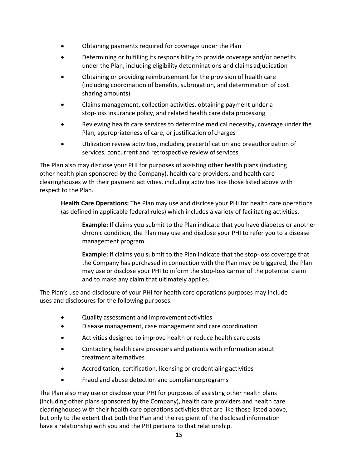- Obtaining payments required for coverage under the Plan
- Determining or fulfilling its responsibility to provide coverage and/or benefits under the Plan, including eligibility determinations and claims adjudication
- Obtaining or providing reimbursement for the provision of health care (including coordination of benefits, subrogation, and determination of cost sharing amounts)
- Claims management, collection activities, obtaining payment under a stop-loss insurance policy, and related health care data processing
- Reviewing health care services to determine medical necessity, coverage under the Plan, appropriateness of care, or justification of charges
- Utilization review activities, including precertification and preauthorization of services, concurrent and retrospective review of services

The Plan also may disclose your PHI for purposes of assisting other health plans (including other health plan sponsored by the Company), health care providers, and health care clearinghouses with their payment activities, including activities like those listed above with respect to the Plan.

**Health Care Operations:** The Plan may use and disclose your PHI for health care operations (as defined in applicable federal rules) which includes a variety of facilitating activities.

**Example:** If claims you submit to the Plan indicate that you have diabetes or another chronic condition, the Plan may use and disclose your PHI to refer you to a disease management program.

**Example:** If claims you submit to the Plan indicate that the stop-loss coverage that the Company has purchased in connection with the Plan may be triggered, the Plan may use or disclose your PHI to inform the stop-loss carrier of the potential claim and to make any claim that ultimately applies.

The Plan's use and disclosure of your PHI for health care operations purposes may include uses and disclosures for the following purposes.

- Quality assessment and improvement activities
- Disease management, case management and care coordination
- Activities designed to improve health or reduce health carecosts
- Contacting health care providers and patients with information about treatment alternatives
- Accreditation, certification, licensing or credentialing activities
- **•** Fraud and abuse detection and compliance programs

The Plan also may use or disclose your PHI for purposes of assisting other health plans (including other plans sponsored by the Company), health care providers and health care clearinghouses with their health care operations activities that are like those listed above, but only to the extent that both the Plan and the recipient of the disclosed information have a relationship with you and the PHI pertains to that relationship.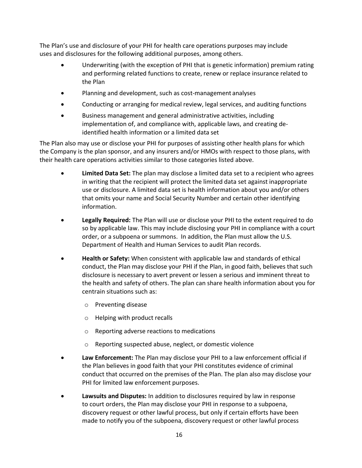The Plan's use and disclosure of your PHI for health care operations purposes may include uses and disclosures for the following additional purposes, among others.

- Underwriting (with the exception of PHI that is genetic information) premium rating and performing related functions to create, renew or replace insurance related to the Plan
- Planning and development, such as cost-management analyses
- Conducting or arranging for medical review, legal services, and auditing functions
- Business management and general administrative activities, including implementation of, and compliance with, applicable laws, and creating deidentified health information or a limited data set

The Plan also may use or disclose your PHI for purposes of assisting other health plans for which the Company is the plan sponsor, and any insurers and/or HMOs with respect to those plans, with their health care operations activities similar to those categories listed above.

- **Limited Data Set:** The plan may disclose a limited data set to a recipient who agrees in writing that the recipient will protect the limited data set against inappropriate use or disclosure. A limited data set is health information about you and/or others that omits your name and Social Security Number and certain other identifying information.
- **Legally Required:** The Plan will use or disclose your PHI to the extent required to do so by applicable law. This may include disclosing your PHI in compliance with a court order, or a subpoena or summons. In addition, the Plan must allow the U.S. Department of Health and Human Services to audit Plan records.
- **Health or Safety:** When consistent with applicable law and standards of ethical conduct, the Plan may disclose your PHI if the Plan, in good faith, believes that such disclosure is necessary to avert prevent or lessen a serious and imminent threat to the health and safety of others. The plan can share health information about you for centrain situations such as:
	- o Preventing disease
	- o Helping with product recalls
	- o Reporting adverse reactions to medications
	- o Reporting suspected abuse, neglect, or domestic violence
- **Law Enforcement:** The Plan may disclose your PHI to a law enforcement official if the Plan believes in good faith that your PHI constitutes evidence of criminal conduct that occurred on the premises of the Plan. The plan also may disclose your PHI for limited law enforcement purposes.
- **Lawsuits and Disputes:** In addition to disclosures required by law in response to court orders, the Plan may disclose your PHI in response to a subpoena, discovery request or other lawful process, but only if certain efforts have been made to notify you of the subpoena, discovery request or other lawful process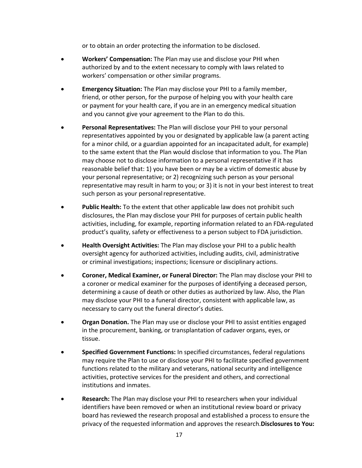or to obtain an order protecting the information to be disclosed.

- **Workers' Compensation:** The Plan may use and disclose your PHI when authorized by and to the extent necessary to comply with laws related to workers' compensation or other similar programs.
- **Emergency Situation:** The Plan may disclose your PHI to a family member, friend, or other person, for the purpose of helping you with your health care or payment for your health care, if you are in an emergency medical situation and you cannot give your agreement to the Plan to do this.
- **Personal Representatives:** The Plan will disclose your PHI to your personal representatives appointed by you or designated by applicable law (a parent acting for a minor child, or a guardian appointed for an incapacitated adult, for example) to the same extent that the Plan would disclose that information to you. The Plan may choose not to disclose information to a personal representative if it has reasonable belief that: 1) you have been or may be a victim of domestic abuse by your personal representative; or 2) recognizing such person as your personal representative may result in harm to you; or 3) it is not in your best interest to treat such person as your personal representative.
- **Public Health:** To the extent that other applicable law does not prohibit such disclosures, the Plan may disclose your PHI for purposes of certain public health activities, including, for example, reporting information related to an FDA-regulated product's quality, safety or effectiveness to a person subject to FDA jurisdiction.
- **Health Oversight Activities:** The Plan may disclose your PHI to a public health oversight agency for authorized activities, including audits, civil, administrative or criminal investigations; inspections; licensure or disciplinary actions.
- **Coroner, Medical Examiner, or Funeral Director:** The Plan may disclose your PHI to a coroner or medical examiner for the purposes of identifying a deceased person, determining a cause of death or other duties as authorized by law. Also, the Plan may disclose your PHI to a funeral director, consistent with applicable law, as necessary to carry out the funeral director's duties.
- **Organ Donation.** The Plan may use or disclose your PHI to assist entities engaged in the procurement, banking, or transplantation of cadaver organs, eyes, or tissue.
- **Specified Government Functions:** In specified circumstances, federal regulations may require the Plan to use or disclose your PHI to facilitate specified government functions related to the military and veterans, national security and intelligence activities, protective services for the president and others, and correctional institutions and inmates.
- **Research:** The Plan may disclose your PHI to researchers when your individual identifiers have been removed or when an institutional review board or privacy board has reviewed the research proposal and established a process to ensure the privacy of the requested information and approves the research.**Disclosures to You:**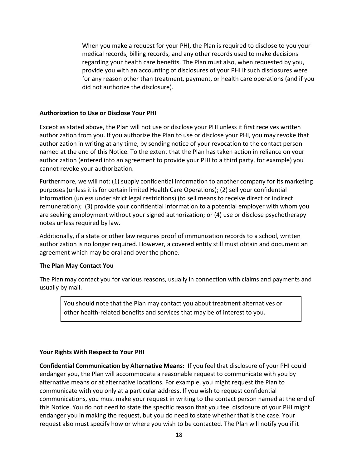When you make a request for your PHI, the Plan is required to disclose to you your medical records, billing records, and any other records used to make decisions regarding your health care benefits. The Plan must also, when requested by you, provide you with an accounting of disclosures of your PHI if such disclosures were for any reason other than treatment, payment, or health care operations (and if you did not authorize the disclosure).

#### **Authorization to Use or Disclose Your PHI**

Except as stated above, the Plan will not use or disclose your PHI unless it first receives written authorization from you. If you authorize the Plan to use or disclose your PHI, you may revoke that authorization in writing at any time, by sending notice of your revocation to the contact person named at the end of this Notice. To the extent that the Plan has taken action in reliance on your authorization (entered into an agreement to provide your PHI to a third party, for example) you cannot revoke your authorization.

Furthermore, we will not: (1) supply confidential information to another company for its marketing purposes (unless it is for certain limited Health Care Operations); (2) sell your confidential information (unless under strict legal restrictions) (to sell means to receive direct or indirect remuneration); (3) provide your confidential information to a potential employer with whom you are seeking employment without your signed authorization; or (4) use or disclose psychotherapy notes unless required by law.

Additionally, if a state or other law requires proof of immunization records to a school, written authorization is no longer required. However, a covered entity still must obtain and document an agreement which may be oral and over the phone.

#### **The Plan May Contact You**

The Plan may contact you for various reasons, usually in connection with claims and payments and usually by mail.

You should note that the Plan may contact you about treatment alternatives or other health-related benefits and services that may be of interest to you.

#### **Your Rights With Respect to Your PHI**

**Confidential Communication by Alternative Means:** If you feel that disclosure of your PHI could endanger you, the Plan will accommodate a reasonable request to communicate with you by alternative means or at alternative locations. For example, you might request the Plan to communicate with you only at a particular address. If you wish to request confidential communications, you must make your request in writing to the contact person named at the end of this Notice. You do not need to state the specific reason that you feel disclosure of your PHI might endanger you in making the request, but you do need to state whether that is the case. Your request also must specify how or where you wish to be contacted. The Plan will notify you if it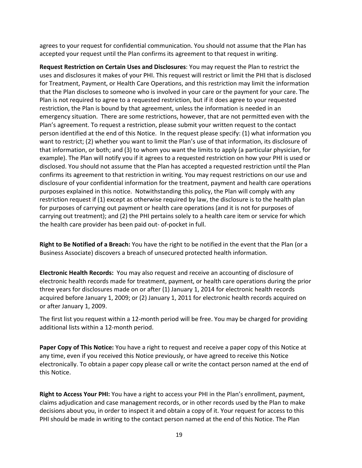agrees to your request for confidential communication. You should not assume that the Plan has accepted your request until the Plan confirms its agreement to that request in writing.

**Request Restriction on Certain Uses and Disclosures**: You may request the Plan to restrict the uses and disclosures it makes of your PHI. This request will restrict or limit the PHI that is disclosed for Treatment, Payment, or Health Care Operations, and this restriction may limit the information that the Plan discloses to someone who is involved in your care or the payment for your care. The Plan is not required to agree to a requested restriction, but if it does agree to your requested restriction, the Plan is bound by that agreement, unless the information is needed in an emergency situation. There are some restrictions, however, that are not permitted even with the Plan's agreement. To request a restriction, please submit your written request to the contact person identified at the end of this Notice. In the request please specify: (1) what information you want to restrict; (2) whether you want to limit the Plan's use of that information, its disclosure of that information, or both; and (3) to whom you want the limits to apply (a particular physician, for example). The Plan will notify you if it agrees to a requested restriction on how your PHI is used or disclosed. You should not assume that the Plan has accepted a requested restriction until the Plan confirms its agreement to that restriction in writing. You may request restrictions on our use and disclosure of your confidential information for the treatment, payment and health care operations purposes explained in this notice. Notwithstanding this policy, the Plan will comply with any restriction request if (1) except as otherwise required by law, the disclosure is to the health plan for purposes of carrying out payment or health care operations (and it is not for purposes of carrying out treatment); and (2) the PHI pertains solely to a health care item or service for which the health care provider has been paid out- of-pocket in full.

**Right to Be Notified of a Breach:** You have the right to be notified in the event that the Plan (or a Business Associate) discovers a breach of unsecured protected health information.

**Electronic Health Records:** You may also request and receive an accounting of disclosure of electronic health records made for treatment, payment, or health care operations during the prior three years for disclosures made on or after (1) January 1, 2014 for electronic health records acquired before January 1, 2009; or (2) January 1, 2011 for electronic health records acquired on or after January 1, 2009.

The first list you request within a 12-month period will be free. You may be charged for providing additional lists within a 12-month period.

**Paper Copy of This Notice:** You have a right to request and receive a paper copy of this Notice at any time, even if you received this Notice previously, or have agreed to receive this Notice electronically. To obtain a paper copy please call or write the contact person named at the end of this Notice.

**Right to Access Your PHI:** You have a right to access your PHI in the Plan's enrollment, payment, claims adjudication and case management records, or in other records used by the Plan to make decisions about you, in order to inspect it and obtain a copy of it. Your request for access to this PHI should be made in writing to the contact person named at the end of this Notice. The Plan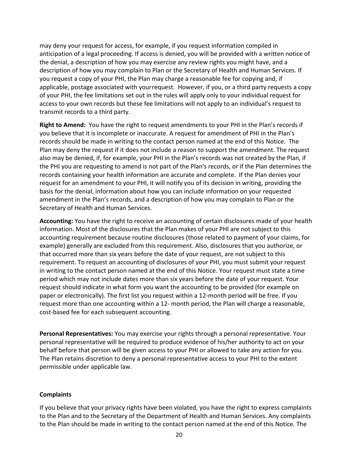may deny your request for access, for example, if you request information compiled in anticipation of a legal proceeding. If access is denied, you will be provided with a written notice of the denial, a description of how you may exercise any review rights you might have, and a description of how you may complain to Plan or the Secretary of Health and Human Services. If you request a copy of your PHI, the Plan may charge a reasonable fee for copying and, if applicable, postage associated with yourrequest. However, if you, or a third party requests a copy of your PHI, the fee limitations set out in the rules will apply only to your individual request for access to your own records but these fee limitations will not apply to an individual's request to transmit records to a third party.

**Right to Amend:** You have the right to request amendments to your PHI in the Plan's records if you believe that it is incomplete or inaccurate. A request for amendment of PHI in the Plan's records should be made in writing to the contact person named at the end of this Notice. The Plan may deny the request if it does not include a reason to support the amendment. The request also may be denied, if, for example, your PHI in the Plan's records was not created by the Plan, if the PHI you are requesting to amend is not part of the Plan's records, or if the Plan determines the records containing your health information are accurate and complete. If the Plan denies your request for an amendment to your PHI, it will notify you of its decision in writing, providing the basis for the denial, information about how you can include information on your requested amendment in the Plan's records, and a description of how you may complain to Plan or the Secretary of Health and Human Services.

**Accounting:** You have the right to receive an accounting of certain disclosures made of your health information. Most of the disclosures that the Plan makes of your PHI are not subject to this accounting requirement because routine disclosures (those related to payment of your claims, for example) generally are excluded from this requirement. Also, disclosures that you authorize, or that occurred more than six years before the date of your request, are not subject to this requirement. To request an accounting of disclosures of your PHI, you must submit your request in writing to the contact person named at the end of this Notice. Your request must state a time period which may not include dates more than six years before the date of your request. Your request should indicate in what form you want the accounting to be provided (for example on paper or electronically). The first list you request within a 12-month period will be free. If you request more than one accounting within a 12- month period, the Plan will charge a reasonable, cost-based fee for each subsequent accounting.

**Personal Representatives:** You may exercise your rights through a personal representative. Your personal representative will be required to produce evidence of his/her authority to act on your behalf before that person will be given access to your PHI or allowed to take any action for you. The Plan retains discretion to deny a personal representative access to your PHI to the extent permissible under applicable law.

#### **Complaints**

If you believe that your privacy rights have been violated, you have the right to express complaints to the Plan and to the Secretary of the Department of Health and Human Services. Any complaints to the Plan should be made in writing to the contact person named at the end of this Notice*.* The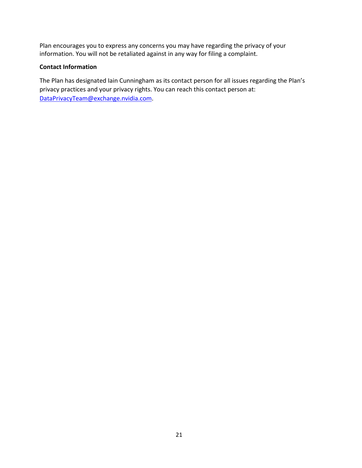Plan encourages you to express any concerns you may have regarding the privacy of your information. You will not be retaliated against in any way for filing a complaint.

#### **Contact Information**

The Plan has designated Iain Cunningham as its contact person for all issues regarding the Plan's privacy practices and your privacy rights. You can reach this contact person at: DataPrivacyTeam@exchange.nvidia.com.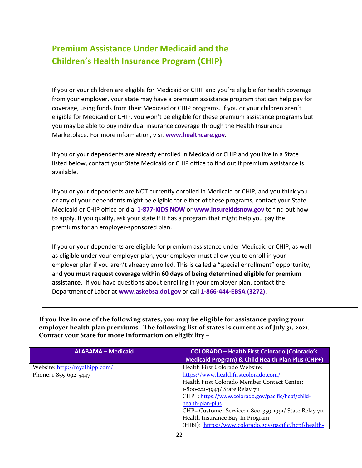# **Premium Assistance Under Medicaid and the Children's Health Insurance Program (CHIP)**

If you or your children are eligible for Medicaid or CHIP and you're eligible for health coverage from your employer, your state may have a premium assistance program that can help pay for coverage, using funds from their Medicaid or CHIP programs. If you or your children aren't eligible for Medicaid or CHIP, you won't be eligible for these premium assistance programs but you may be able to buy individual insurance coverage through the Health Insurance Marketplace. For more information, visit **www.healthcare.gov**.

If you or your dependents are already enrolled in Medicaid or CHIP and you live in a State listed below, contact your State Medicaid or CHIP office to find out if premium assistance is available.

If you or your dependents are NOT currently enrolled in Medicaid or CHIP, and you think you or any of your dependents might be eligible for either of these programs, contact your State Medicaid or CHIP office or dial **1-877-KIDS NOW** or **www.insurekidsnow.gov** to find out how to apply. If you qualify, ask your state if it has a program that might help you pay the premiums for an employer-sponsored plan.

If you or your dependents are eligible for premium assistance under Medicaid or CHIP, as well as eligible under your employer plan, your employer must allow you to enroll in your employer plan if you aren't already enrolled. This is called a "special enrollment" opportunity, and **you must request coverage within 60 days of being determined eligible for premium assistance**. If you have questions about enrolling in your employer plan, contact the Department of Labor at **www.askebsa.dol.gov** or call **1-866-444-EBSA (3272)**.

**If you live in one of the following states, you may be eligible for assistance paying your employer health plan premiums. The following list of states is current as of July 31, 2021. Contact your State for more information on eligibility –**

| <b>ALABAMA - Medicaid</b>     | <b>COLORADO - Health First Colorado (Colorado's</b>    |
|-------------------------------|--------------------------------------------------------|
|                               | Medicaid Program) & Child Health Plan Plus (CHP+)      |
| Website: http://myalhipp.com/ | Health First Colorado Website:                         |
| Phone: 1-855-692-5447         | https://www.healthfirstcolorado.com/                   |
|                               | Health First Colorado Member Contact Center:           |
|                               | 1-800-221-3943/ State Relay 711                        |
|                               | CHP+: https://www.colorado.gov/pacific/hcpf/child-     |
|                               | health-plan-plus                                       |
|                               | CHP+ Customer Service: 1-800-359-1991/ State Relay 711 |
|                               | Health Insurance Buy-In Program                        |
|                               | (HIBI): https://www.colorado.gov/pacific/hcpf/health-  |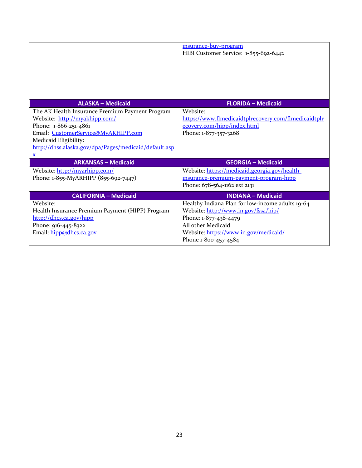|                                                                                                                                                                                                                                                    | insurance-buy-program<br>HIBI Customer Service: 1-855-692-6442                                                                                                                                           |
|----------------------------------------------------------------------------------------------------------------------------------------------------------------------------------------------------------------------------------------------------|----------------------------------------------------------------------------------------------------------------------------------------------------------------------------------------------------------|
| <b>ALASKA - Medicaid</b>                                                                                                                                                                                                                           | <b>FLORIDA - Medicaid</b>                                                                                                                                                                                |
| The AK Health Insurance Premium Payment Program<br>Website: http://myakhipp.com/<br>Phone: 1-866-251-4861<br>Email: CustomerService@MyAKHIPP.com<br>Medicaid Eligibility:<br>http://dhss.alaska.gov/dpa/Pages/medicaid/default.asp<br>$\mathbf{x}$ | Website:<br>https://www.flmedicaidtplrecovery.com/flmedicaidtplr<br>ecovery.com/hipp/index.html<br>Phone: 1-877-357-3268                                                                                 |
| <b>ARKANSAS - Medicaid</b>                                                                                                                                                                                                                         | <b>GEORGIA - Medicaid</b>                                                                                                                                                                                |
| Website: http://myarhipp.com/<br>Phone: 1-855-MyARHIPP (855-692-7447)                                                                                                                                                                              | Website: https://medicaid.georgia.gov/health-<br>insurance-premium-payment-program-hipp<br>Phone: 678-564-1162 ext 2131                                                                                  |
| <b>CALIFORNIA - Medicaid</b>                                                                                                                                                                                                                       | <b>INDIANA - Medicaid</b>                                                                                                                                                                                |
| Website:<br>Health Insurance Premium Payment (HIPP) Program<br>http://dhcs.ca.gov/hipp<br>Phone: 916-445-8322<br>Email: hipp@dhcs.ca.gov                                                                                                           | Healthy Indiana Plan for low-income adults 19-64<br>Website: http://www.in.gov/fssa/hip/<br>Phone: 1-877-438-4479<br>All other Medicaid<br>Website: https://www.in.gov/medicaid/<br>Phone 1-800-457-4584 |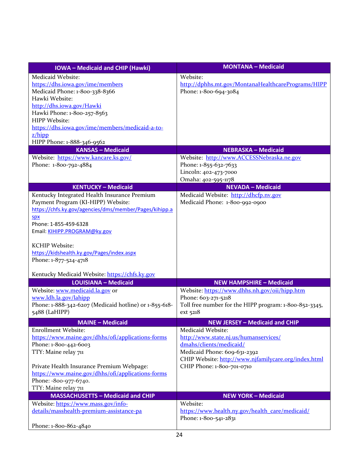| <b>IOWA</b> - Medicaid and CHIP (Hawki)                | <b>MONTANA - Medicaid</b>                              |
|--------------------------------------------------------|--------------------------------------------------------|
| Medicaid Website:                                      | Website:                                               |
| https://dhs.iowa.gov/ime/members                       | http://dphhs.mt.gov/MontanaHealthcarePrograms/HIPP     |
| Medicaid Phone: 1-800-338-8366                         | Phone: 1-800-694-3084                                  |
| Hawki Website:                                         |                                                        |
| http://dhs.iowa.gov/Hawki                              |                                                        |
| Hawki Phone: 1-800-257-8563                            |                                                        |
| HIPP Website:                                          |                                                        |
| https://dhs.iowa.gov/ime/members/medicaid-a-to-        |                                                        |
| $z/h$ ipp                                              |                                                        |
| HIPP Phone: 1-888-346-9562                             |                                                        |
| <b>KANSAS - Medicaid</b>                               | <b>NEBRASKA - Medicaid</b>                             |
| Website: https://www.kancare.ks.gov/                   | Website: http://www.ACCESSNebraska.ne.gov              |
| Phone: 1-800-792-4884                                  | Phone: 1-855-632-7633                                  |
|                                                        | Lincoln: 402-473-7000                                  |
|                                                        | Omaha: 402-595-1178                                    |
| <b>KENTUCKY - Medicaid</b>                             | <b>NEVADA - Medicaid</b>                               |
| Kentucky Integrated Health Insurance Premium           | Medicaid Website: http://dhcfp.nv.gov                  |
| Payment Program (KI-HIPP) Website:                     | Medicaid Phone: 1-800-992-0900                         |
| https://chfs.ky.gov/agencies/dms/member/Pages/kihipp.a |                                                        |
| spx                                                    |                                                        |
| Phone: 1-855-459-6328                                  |                                                        |
| Email: KIHIPP.PROGRAM@ky.gov                           |                                                        |
| <b>KCHIP Website:</b>                                  |                                                        |
| https://kidshealth.ky.gov/Pages/index.aspx             |                                                        |
| Phone: 1-877-524-4718                                  |                                                        |
|                                                        |                                                        |
| Kentucky Medicaid Website: https://chfs.ky.gov         |                                                        |
| <b>LOUISIANA - Medicaid</b>                            | <b>NEW HAMPSHIRE - Medicaid</b>                        |
| Website: www.medicaid.la.gov or                        | Website: https://www.dhhs.nh.gov/oii/hipp.htm          |
| www.ldh.la.gov/lahipp                                  | Phone: 603-271-5218                                    |
| Phone: 1-888-342-6207 (Medicaid hotline) or 1-855-618- | Toll free number for the HIPP program: 1-800-852-3345, |
| 5488 (LaHIPP)                                          | ext 5218                                               |
| <b>MAINE - Medicaid</b>                                | <b>NEW JERSEY - Medicaid and CHIP</b>                  |
| <b>Enrollment Website:</b>                             | Medicaid Website:                                      |
| https://www.maine.gov/dhhs/ofi/applications-forms      | http://www.state.nj.us/humanservices/                  |
| Phone: 1-800-442-6003                                  | dmahs/clients/medicaid/                                |
| TTY: Maine relay 711                                   | Medicaid Phone: 609-631-2392                           |
|                                                        | CHIP Website: http://www.njfamilycare.org/index.html   |
| Private Health Insurance Premium Webpage:              | CHIP Phone: 1-800-701-0710                             |
| https://www.maine.gov/dhhs/ofi/applications-forms      |                                                        |
| Phone: -800-977-6740.                                  |                                                        |
| TTY: Maine relay 711                                   |                                                        |
| <b>MASSACHUSETTS - Medicaid and CHIP</b>               | <b>NEW YORK - Medicaid</b>                             |
| Website: https://www.mass.gov/info-                    | Website:                                               |
| details/masshealth-premium-assistance-pa               | https://www.health.ny.gov/health_care/medicaid/        |
|                                                        | Phone: 1-800-541-2831                                  |
| Phone: 1-800-862-4840                                  |                                                        |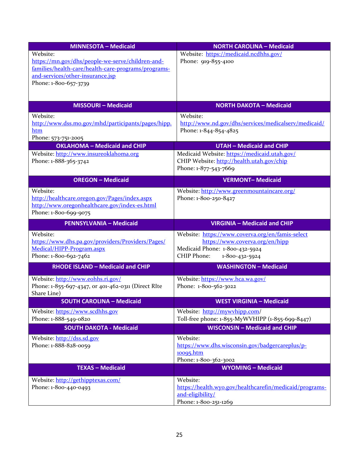| <b>MINNESOTA - Medicaid</b>                         | <b>NORTH CAROLINA - Medicaid</b>                        |
|-----------------------------------------------------|---------------------------------------------------------|
| Website:                                            | Website: https://medicaid.ncdhhs.gov/                   |
| https://mn.gov/dhs/people-we-serve/children-and-    | Phone: 919-855-4100                                     |
| families/health-care/health-care-programs/programs- |                                                         |
| and-services/other-insurance.jsp                    |                                                         |
| Phone: 1-800-657-3739                               |                                                         |
|                                                     |                                                         |
| <b>MISSOURI-Medicaid</b>                            | <b>NORTH DAKOTA - Medicaid</b>                          |
| Website:                                            | Website:                                                |
| http://www.dss.mo.gov/mhd/participants/pages/hipp.  | http://www.nd.gov/dhs/services/medicalserv/medicaid/    |
| htm                                                 | Phone: 1-844-854-4825                                   |
| Phone: 573-751-2005                                 |                                                         |
| <b>OKLAHOMA - Medicaid and CHIP</b>                 | <b>UTAH - Medicaid and CHIP</b>                         |
| Website: http://www.insureoklahoma.org              | Medicaid Website: https://medicaid.utah.gov/            |
| Phone: 1-888-365-3742                               | CHIP Website: http://health.utah.gov/chip               |
|                                                     | Phone: 1-877-543-7669                                   |
| <b>OREGON - Medicaid</b>                            | <b>VERMONT-Medicaid</b>                                 |
| Website:                                            | Website: http://www.greenmountaincare.org/              |
| http://healthcare.oregon.gov/Pages/index.aspx       | Phone: 1-800-250-8427                                   |
| http://www.oregonhealthcare.gov/index-es.html       |                                                         |
| Phone: 1-800-699-9075                               |                                                         |
| <b>PENNSYLVANIA - Medicaid</b>                      | VIRGINIA - Medicaid and CHIP                            |
| Website:                                            | Website: https://www.coverva.org/en/famis-select        |
| https://www.dhs.pa.gov/providers/Providers/Pages/   | https://www.coverva.org/en/hipp                         |
| Medical/HIPP-Program.aspx                           | Medicaid Phone: 1-800-432-5924                          |
| Phone: 1-800-692-7462                               | CHIP Phone:<br>1-800-432-5924                           |
| <b>RHODE ISLAND - Medicaid and CHIP</b>             | <b>WASHINGTON - Medicaid</b>                            |
|                                                     |                                                         |
| Website: http://www.eohhs.ri.gov/                   | Website: https://www.hca.wa.gov/                        |
| Phone: 1-855-697-4347, or 401-462-0311 (Direct RIte | Phone: 1-800-562-3022                                   |
| Share Line)                                         |                                                         |
| <b>SOUTH CAROLINA - Medicaid</b>                    | <b>WEST VIRGINIA - Medicaid</b>                         |
| Website: https://www.scdhhs.gov                     | Website: http://mywyhipp.com/                           |
| Phone: 1-888-549-0820                               | Toll-free phone: 1-855-MyWVHIPP (1-855-699-8447)        |
| <b>SOUTH DAKOTA - Medicaid</b>                      | <b>WISCONSIN - Medicaid and CHIP</b>                    |
| Website: http://dss.sd.gov                          | Website:                                                |
| Phone: 1-888-828-0059                               | https://www.dhs.wisconsin.gov/badgercareplus/p-         |
|                                                     | 10095.htm                                               |
|                                                     | Phone: 1-800-362-3002                                   |
| <b>TEXAS - Medicaid</b>                             | <b>WYOMING - Medicaid</b>                               |
| Website: http://gethipptexas.com/                   | Website:                                                |
| Phone: 1-800-440-0493                               | https://health.wyo.gov/healthcarefin/medicaid/programs- |
|                                                     | and-eligibility/                                        |
|                                                     | Phone: 1-800-251-1269                                   |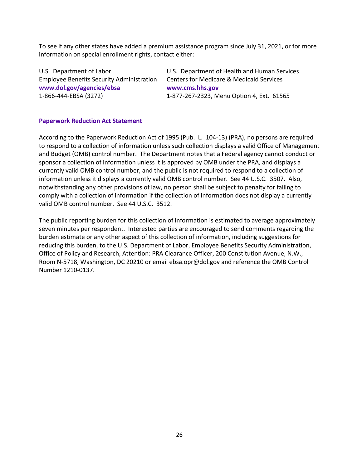To see if any other states have added a premium assistance program since July 31, 2021, or for more information on special enrollment rights, contact either:

Employee Benefits Security Administration Centers for Medicare & Medicaid Services **www.dol.gov/agencies/ebsa www.cms.hhs.gov**

U.S. Department of Labor U.S. Department of Health and Human Services 1-866-444-EBSA (3272) 1-877-267-2323, Menu Option 4, Ext. 61565

#### **Paperwork Reduction Act Statement**

According to the Paperwork Reduction Act of 1995 (Pub. L. 104-13) (PRA), no persons are required to respond to a collection of information unless such collection displays a valid Office of Management and Budget (OMB) control number. The Department notes that a Federal agency cannot conduct or sponsor a collection of information unless it is approved by OMB under the PRA, and displays a currently valid OMB control number, and the public is not required to respond to a collection of information unless it displays a currently valid OMB control number. See 44 U.S.C. 3507. Also, notwithstanding any other provisions of law, no person shall be subject to penalty for failing to comply with a collection of information if the collection of information does not display a currently valid OMB control number. See 44 U.S.C. 3512.

The public reporting burden for this collection of information is estimated to average approximately seven minutes per respondent. Interested parties are encouraged to send comments regarding the burden estimate or any other aspect of this collection of information, including suggestions for reducing this burden, to the U.S. Department of Labor, Employee Benefits Security Administration, Office of Policy and Research, Attention: PRA Clearance Officer, 200 Constitution Avenue, N.W., Room N-5718, Washington, DC 20210 or email ebsa.opr@dol.gov and reference the OMB Control Number 1210-0137.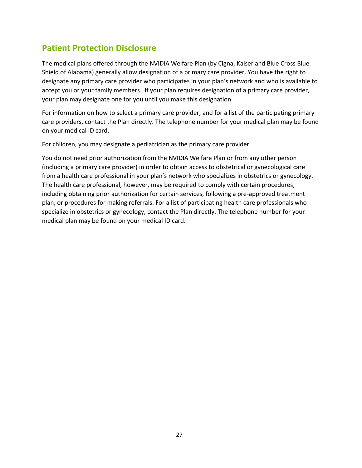### **Patient Protection Disclosure**

The medical plans offered through the NVIDIA Welfare Plan (by Cigna, Kaiser and Blue Cross Blue Shield of Alabama) generally allow designation of a primary care provider. You have the right to designate any primary care provider who participates in your plan's network and who is available to accept you or your family members. If your plan requires designation of a primary care provider, your plan may designate one for you until you make this designation.

For information on how to select a primary care provider, and for a list of the participating primary care providers, contact the Plan directly. The telephone number for your medical plan may be found on your medical ID card.

For children, you may designate a pediatrician as the primary care provider.

You do not need prior authorization from the NVIDIA Welfare Plan or from any other person (including a primary care provider) in order to obtain access to obstetrical or gynecological care from a health care professional in your plan's network who specializes in obstetrics or gynecology. The health care professional, however, may be required to comply with certain procedures, including obtaining prior authorization for certain services, following a pre-approved treatment plan, or procedures for making referrals. For a list of participating health care professionals who specialize in obstetrics or gynecology, contact the Plan directly. The telephone number for your medical plan may be found on your medical ID card.